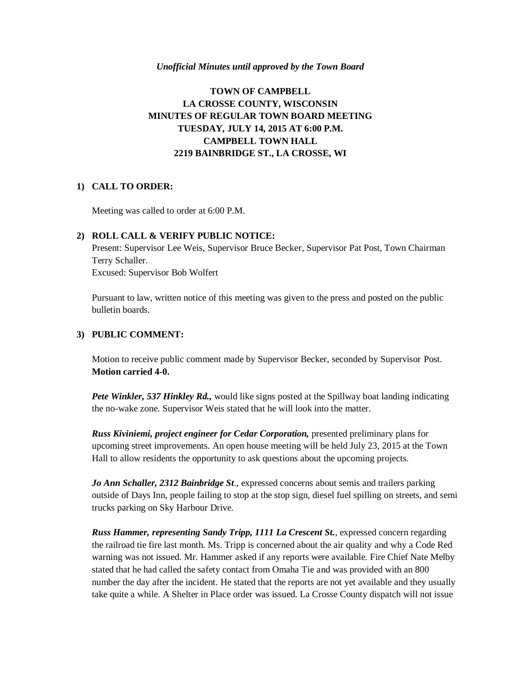#### *Unofficial Minutes until approved by the Town Board*

# **TOWN OF CAMPBELL LA CROSSE COUNTY, WISCONSIN MINUTES OF REGULAR TOWN BOARD MEETING TUESDAY, JULY 14, 2015 AT 6:00 P.M. CAMPBELL TOWN HALL 2219 BAINBRIDGE ST., LA CROSSE, WI**

### **1) CALL TO ORDER:**

Meeting was called to order at 6:00 P.M.

### **2) ROLL CALL & VERIFY PUBLIC NOTICE:**

Present: Supervisor Lee Weis, Supervisor Bruce Becker, Supervisor Pat Post, Town Chairman Terry Schaller. Excused: Supervisor Bob Wolfert

Pursuant to law, written notice of this meeting was given to the press and posted on the public bulletin boards.

### **3) PUBLIC COMMENT:**

Motion to receive public comment made by Supervisor Becker, seconded by Supervisor Post. **Motion carried 4-0.** 

*Pete Winkler, 537 Hinkley Rd.,* would like signs posted at the Spillway boat landing indicating the no-wake zone. Supervisor Weis stated that he will look into the matter.

*Russ Kiviniemi, project engineer for Cedar Corporation,* presented preliminary plans for upcoming street improvements. An open house meeting will be held July 23, 2015 at the Town Hall to allow residents the opportunity to ask questions about the upcoming projects.

*Jo Ann Schaller, 2312 Bainbridge St*., expressed concerns about semis and trailers parking outside of Days Inn, people failing to stop at the stop sign, diesel fuel spilling on streets, and semi trucks parking on Sky Harbour Drive.

*Russ Hammer, representing Sandy Tripp, 1111 La Crescent St.*, expressed concern regarding the railroad tie fire last month. Ms. Tripp is concerned about the air quality and why a Code Red warning was not issued. Mr. Hammer asked if any reports were available. Fire Chief Nate Melby stated that he had called the safety contact from Omaha Tie and was provided with an 800 number the day after the incident. He stated that the reports are not yet available and they usually take quite a while. A Shelter in Place order was issued. La Crosse County dispatch will not issue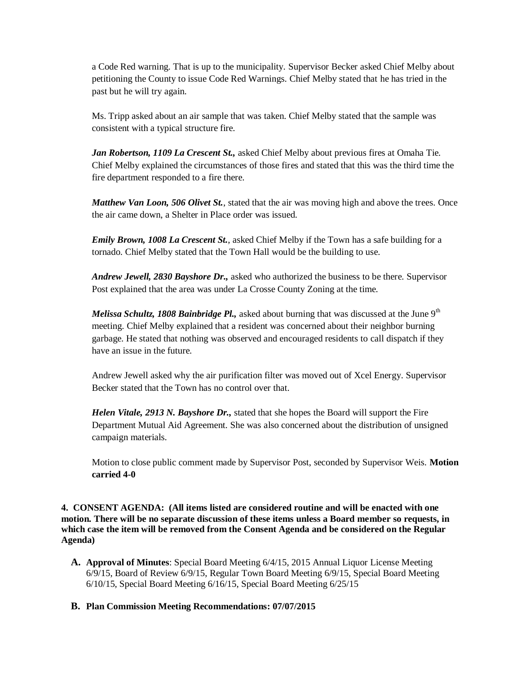a Code Red warning. That is up to the municipality. Supervisor Becker asked Chief Melby about petitioning the County to issue Code Red Warnings. Chief Melby stated that he has tried in the past but he will try again.

Ms. Tripp asked about an air sample that was taken. Chief Melby stated that the sample was consistent with a typical structure fire.

*Jan Robertson, 1109 La Crescent St.,* asked Chief Melby about previous fires at Omaha Tie. Chief Melby explained the circumstances of those fires and stated that this was the third time the fire department responded to a fire there.

*Matthew Van Loon, 506 Olivet St.*, stated that the air was moving high and above the trees. Once the air came down, a Shelter in Place order was issued.

*Emily Brown, 1008 La Crescent St.*, asked Chief Melby if the Town has a safe building for a tornado. Chief Melby stated that the Town Hall would be the building to use.

*Andrew Jewell, 2830 Bayshore Dr.,* asked who authorized the business to be there. Supervisor Post explained that the area was under La Crosse County Zoning at the time.

*Melissa Schultz, 1808 Bainbridge Pl.*, asked about burning that was discussed at the June 9<sup>th</sup> meeting. Chief Melby explained that a resident was concerned about their neighbor burning garbage. He stated that nothing was observed and encouraged residents to call dispatch if they have an issue in the future.

Andrew Jewell asked why the air purification filter was moved out of Xcel Energy. Supervisor Becker stated that the Town has no control over that.

*Helen Vitale, 2913 N. Bayshore Dr.,* stated that she hopes the Board will support the Fire Department Mutual Aid Agreement. She was also concerned about the distribution of unsigned campaign materials.

Motion to close public comment made by Supervisor Post, seconded by Supervisor Weis. **Motion carried 4-0**

**4. CONSENT AGENDA: (All items listed are considered routine and will be enacted with one motion. There will be no separate discussion of these items unless a Board member so requests, in which case the item will be removed from the Consent Agenda and be considered on the Regular Agenda)**

- **A. Approval of Minutes**: Special Board Meeting 6/4/15, 2015 Annual Liquor License Meeting 6/9/15, Board of Review 6/9/15, Regular Town Board Meeting 6/9/15, Special Board Meeting 6/10/15, Special Board Meeting 6/16/15, Special Board Meeting 6/25/15
- **B. Plan Commission Meeting Recommendations: 07/07/2015**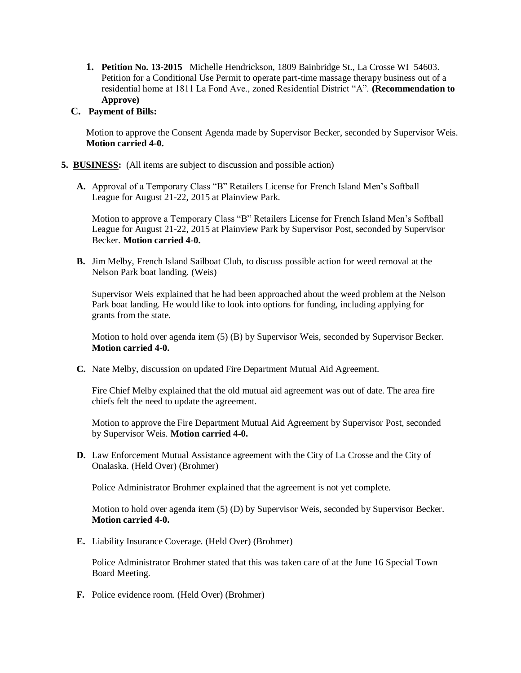- **1. Petition No. 13-2015** Michelle Hendrickson, 1809 Bainbridge St., La Crosse WI 54603. Petition for a Conditional Use Permit to operate part-time massage therapy business out of a residential home at 1811 La Fond Ave., zoned Residential District "A". **(Recommendation to Approve)**
- **C. Payment of Bills:**

Motion to approve the Consent Agenda made by Supervisor Becker, seconded by Supervisor Weis. **Motion carried 4-0.** 

- **5. BUSINESS:** (All items are subject to discussion and possible action)
	- **A.** Approval of a Temporary Class "B" Retailers License for French Island Men's Softball League for August 21-22, 2015 at Plainview Park.

Motion to approve a Temporary Class "B" Retailers License for French Island Men's Softball League for August 21-22, 2015 at Plainview Park by Supervisor Post, seconded by Supervisor Becker. **Motion carried 4-0.** 

**B.** Jim Melby, French Island Sailboat Club, to discuss possible action for weed removal at the Nelson Park boat landing. (Weis)

Supervisor Weis explained that he had been approached about the weed problem at the Nelson Park boat landing. He would like to look into options for funding, including applying for grants from the state.

Motion to hold over agenda item (5) (B) by Supervisor Weis, seconded by Supervisor Becker. **Motion carried 4-0.**

**C.** Nate Melby, discussion on updated Fire Department Mutual Aid Agreement.

Fire Chief Melby explained that the old mutual aid agreement was out of date. The area fire chiefs felt the need to update the agreement.

Motion to approve the Fire Department Mutual Aid Agreement by Supervisor Post, seconded by Supervisor Weis. **Motion carried 4-0.** 

**D.** Law Enforcement Mutual Assistance agreement with the City of La Crosse and the City of Onalaska. (Held Over) (Brohmer)

Police Administrator Brohmer explained that the agreement is not yet complete.

Motion to hold over agenda item (5) (D) by Supervisor Weis, seconded by Supervisor Becker. **Motion carried 4-0.** 

**E.** Liability Insurance Coverage. (Held Over) (Brohmer)

Police Administrator Brohmer stated that this was taken care of at the June 16 Special Town Board Meeting.

**F.** Police evidence room. (Held Over) (Brohmer)